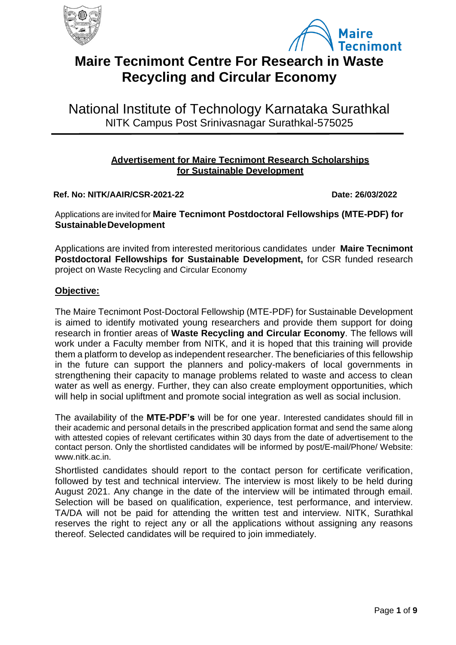



# **Maire Tecnimont Centre For Research in Waste Recycling and Circular Economy**

National Institute of Technology Karnataka Surathkal NITK Campus Post Srinivasnagar Surathkal-575025

# **Advertisement for Maire Tecnimont Research Scholarships for Sustainable Development**

**Ref. No: NITK/AAIR/CSR-2021-22 Date: 26/03/2022**

Applications are invited for **Maire Tecnimont Postdoctoral Fellowships (MTE-PDF) for Sustainable Development**

Applications are invited from interested meritorious candidates under **Maire Tecnimont Postdoctoral Fellowships for Sustainable Development,** for CSR funded research project on Waste Recycling and Circular Economy

# **Objective:**

The Maire Tecnimont Post-Doctoral Fellowship (MTE-PDF) for Sustainable Development is aimed to identify motivated young researchers and provide them support for doing research in frontier areas of **Waste Recycling and Circular Economy**. The fellows will work under a Faculty member from NITK, and it is hoped that this training will provide them a platform to develop as independent researcher. The beneficiaries of this fellowship in the future can support the planners and policy-makers of local governments in strengthening their capacity to manage problems related to waste and access to clean water as well as energy. Further, they can also create employment opportunities, which will help in social upliftment and promote social integration as well as social inclusion.

The availability of the **MTE-PDF's** will be for one year. Interested candidates should fill in their academic and personal details in the prescribed application format and send the same along with attested copies of relevant certificates within 30 days from the date of advertisement to the contact person. Only the shortlisted candidates will be informed by post/E-mail/Phone/ Website: www.nitk.ac.in.

Shortlisted candidates should report to the contact person for certificate verification, followed by test and technical interview. The interview is most likely to be held during August 2021. Any change in the date of the interview will be intimated through email. Selection will be based on qualification, experience, test performance, and interview. TA/DA will not be paid for attending the written test and interview. NITK, Surathkal reserves the right to reject any or all the applications without assigning any reasons thereof. Selected candidates will be required to join immediately.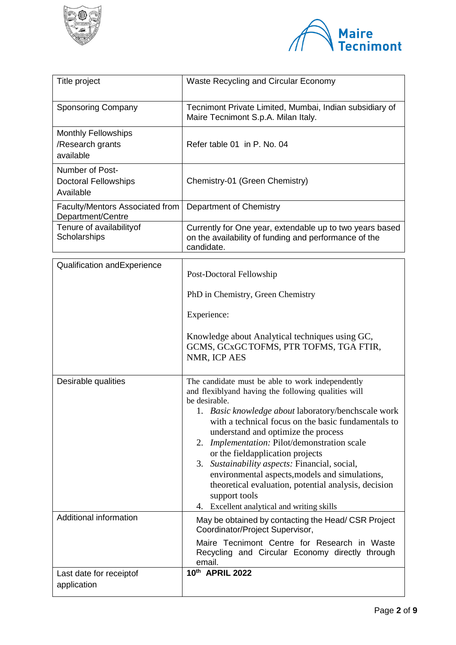



| Title project                                               | Waste Recycling and Circular Economy                                                                                                                                                                                                                                                                                                                                                                                                                                                                                                                                                                                                                                                                                                          |  |  |
|-------------------------------------------------------------|-----------------------------------------------------------------------------------------------------------------------------------------------------------------------------------------------------------------------------------------------------------------------------------------------------------------------------------------------------------------------------------------------------------------------------------------------------------------------------------------------------------------------------------------------------------------------------------------------------------------------------------------------------------------------------------------------------------------------------------------------|--|--|
| <b>Sponsoring Company</b>                                   | Tecnimont Private Limited, Mumbai, Indian subsidiary of<br>Maire Tecnimont S.p.A. Milan Italy.                                                                                                                                                                                                                                                                                                                                                                                                                                                                                                                                                                                                                                                |  |  |
| <b>Monthly Fellowships</b><br>/Research grants<br>available | Refer table 01 in P. No. 04                                                                                                                                                                                                                                                                                                                                                                                                                                                                                                                                                                                                                                                                                                                   |  |  |
| Number of Post-<br><b>Doctoral Fellowships</b><br>Available | Chemistry-01 (Green Chemistry)                                                                                                                                                                                                                                                                                                                                                                                                                                                                                                                                                                                                                                                                                                                |  |  |
| <b>Faculty/Mentors Associated from</b><br>Department/Centre | Department of Chemistry                                                                                                                                                                                                                                                                                                                                                                                                                                                                                                                                                                                                                                                                                                                       |  |  |
| Tenure of availabilityof<br>Scholarships                    | Currently for One year, extendable up to two years based<br>on the availability of funding and performance of the<br>candidate.                                                                                                                                                                                                                                                                                                                                                                                                                                                                                                                                                                                                               |  |  |
| Qualification and Experience                                |                                                                                                                                                                                                                                                                                                                                                                                                                                                                                                                                                                                                                                                                                                                                               |  |  |
|                                                             | Post-Doctoral Fellowship<br>PhD in Chemistry, Green Chemistry                                                                                                                                                                                                                                                                                                                                                                                                                                                                                                                                                                                                                                                                                 |  |  |
|                                                             | Experience:                                                                                                                                                                                                                                                                                                                                                                                                                                                                                                                                                                                                                                                                                                                                   |  |  |
|                                                             |                                                                                                                                                                                                                                                                                                                                                                                                                                                                                                                                                                                                                                                                                                                                               |  |  |
|                                                             | Knowledge about Analytical techniques using GC,<br>GCMS, GCxGCTOFMS, PTR TOFMS, TGA FTIR,<br>NMR, ICP AES                                                                                                                                                                                                                                                                                                                                                                                                                                                                                                                                                                                                                                     |  |  |
| Desirable qualities<br>Additional information               | The candidate must be able to work independently<br>and flexiblyand having the following qualities will<br>be desirable.<br>1. Basic knowledge about laboratory/benchscale work<br>with a technical focus on the basic fundamentals to<br>understand and optimize the process<br>2. <i>Implementation:</i> Pilot/demonstration scale<br>or the field application projects<br>3. Sustainability aspects: Financial, social,<br>environmental aspects, models and simulations,<br>theoretical evaluation, potential analysis, decision<br>support tools<br>4. Excellent analytical and writing skills<br>May be obtained by contacting the Head/ CSR Project<br>Coordinator/Project Supervisor,<br>Maire Tecnimont Centre for Research in Waste |  |  |
|                                                             | Recycling and Circular Economy directly through<br>email.                                                                                                                                                                                                                                                                                                                                                                                                                                                                                                                                                                                                                                                                                     |  |  |
| Last date for receiptof<br>application                      | 10th APRIL 2022                                                                                                                                                                                                                                                                                                                                                                                                                                                                                                                                                                                                                                                                                                                               |  |  |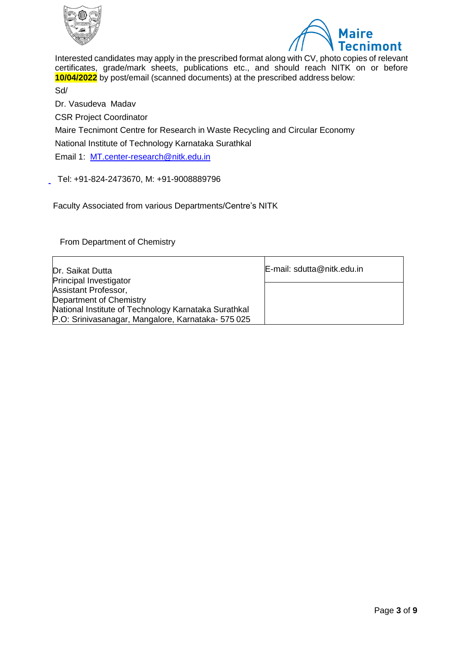



Interested candidates may apply in the prescribed format along with CV, photo copies of relevant certificates, grade/mark sheets, publications etc., and should reach NITK on or before **10/04/2022** by post/email (scanned documents) at the prescribed address below:

Sd/

Dr. Vasudeva Madav

CSR Project Coordinator

Maire Tecnimont Centre for Research in Waste Recycling and Circular Economy

National Institute of Technology Karnataka Surathkal

Email 1: [MT.center-research@nitk.edu.in](mailto:MT.center-research@nitk.edu.in)

Tel: +91-824-2473670, M: +91-9008889796

Faculty Associated from various Departments/Centre's NITK

From Department of Chemistry

| Dr. Saikat Dutta<br><b>Principal Investigator</b>                                                        | E-mail: sdutta@nitk.edu.in |
|----------------------------------------------------------------------------------------------------------|----------------------------|
| Assistant Professor,<br>Department of Chemistry                                                          |                            |
| National Institute of Technology Karnataka Surathkal<br>P.O: Srinivasanagar, Mangalore, Karnataka-575025 |                            |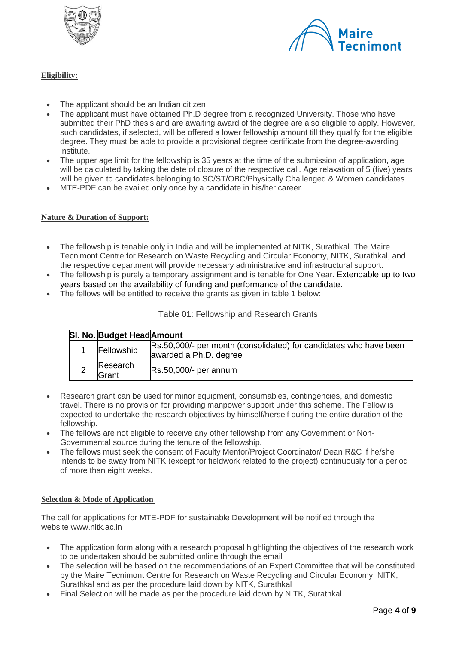



## **Eligibility:**

- The applicant should be an Indian citizen
- The applicant must have obtained Ph.D degree from a recognized University. Those who have submitted their PhD thesis and are awaiting award of the degree are also eligible to apply. However, such candidates, if selected, will be offered a lower fellowship amount till they qualify for the eligible degree. They must be able to provide a provisional degree certificate from the degree-awarding institute.
- The upper age limit for the fellowship is 35 years at the time of the submission of application, age will be calculated by taking the date of closure of the respective call. Age relaxation of 5 (five) years will be given to candidates belonging to SC/ST/OBC/Physically Challenged & Women candidates
- MTE-PDF can be availed only once by a candidate in his/her career.

#### **Nature & Duration of Support:**

- The fellowship is tenable only in India and will be implemented at NITK, Surathkal. The Maire Tecnimont Centre for Research on Waste Recycling and Circular Economy, NITK, Surathkal, and the respective department will provide necessary administrative and infrastructural support.
- The fellowship is purely a temporary assignment and is tenable for One Year. Extendable up to two years based on the availability of funding and performance of the candidate.
- The fellows will be entitled to receive the grants as given in table 1 below:

| SI. No. Budget Head Amount |                                                                                             |
|----------------------------|---------------------------------------------------------------------------------------------|
| Fellowship                 | Rs.50,000/- per month (consolidated) for candidates who have been<br>awarded a Ph.D. degree |
| Research<br>Grant          | Rs.50,000/- per annum                                                                       |

#### Table 01: Fellowship and Research Grants

- Research grant can be used for minor equipment, consumables, contingencies, and domestic travel. There is no provision for providing manpower support under this scheme. The Fellow is expected to undertake the research objectives by himself/herself during the entire duration of the fellowship.
- The fellows are not eligible to receive any other fellowship from any Government or Non-Governmental source during the tenure of the fellowship.
- The fellows must seek the consent of Faculty Mentor/Project Coordinator/ Dean R&C if he/she intends to be away from NITK (except for fieldwork related to the project) continuously for a period of more than eight weeks.

#### **Selection & Mode of Application**

The call for applications for MTE-PDF for sustainable Development will be notified through the website www.nitk.ac.in

- The application form along with a research proposal highlighting the objectives of the research work to be undertaken should be submitted online through the email
- The selection will be based on the recommendations of an Expert Committee that will be constituted by the Maire Tecnimont Centre for Research on Waste Recycling and Circular Economy, NITK, Surathkal and as per the procedure laid down by NITK, Surathkal
- Final Selection will be made as per the procedure laid down by NITK, Surathkal.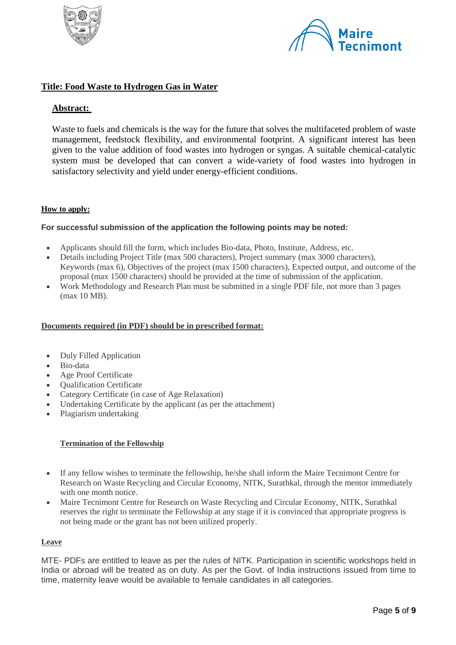



## **Title: Food Waste to Hydrogen Gas in Water**

## **Abstract:**

Waste to fuels and chemicals is the way for the future that solves the multifaceted problem of waste management, feedstock flexibility, and environmental footprint. A significant interest has been given to the value addition of food wastes into hydrogen or syngas. A suitable chemical-catalytic system must be developed that can convert a wide-variety of food wastes into hydrogen in satisfactory selectivity and yield under energy-efficient conditions.

#### **How to apply:**

#### **For successful submission of the application the following points may be noted:**

- Applicants should fill the form, which includes Bio-data, Photo, Institute, Address, etc.
- Details including Project Title (max 500 characters), Project summary (max 3000 characters), Keywords (max 6), Objectives of the project (max 1500 characters), Expected output, and outcome of the proposal (max 1500 characters) should be provided at the time of submission of the application.
- Work Methodology and Research Plan must be submitted in a single PDF file, not more than 3 pages (max 10 MB).

#### **Documents required (in PDF) should be in prescribed format:**

- Duly Filled Application
- Bio-data
- Age Proof Certificate
- Qualification Certificate
- Category Certificate (in case of Age Relaxation)
- Undertaking Certificate by the applicant (as per the attachment)
- Plagiarism undertaking

#### **Termination of the Fellowship**

- If any fellow wishes to terminate the fellowship, he/she shall inform the Maire Tecnimont Centre for Research on Waste Recycling and Circular Economy, NITK, Surathkal, through the mentor immediately with one month notice.
- Maire Tecnimont Centre for Research on Waste Recycling and Circular Economy, NITK, Surathkal reserves the right to terminate the Fellowship at any stage if it is convinced that appropriate progress is not being made or the grant has not been utilized properly.

#### **Leave**

MTE- PDFs are entitled to leave as per the rules of NITK. Participation in scientific workshops held in India or abroad will be treated as on duty. As per the Govt. of India instructions issued from time to time, maternity leave would be available to female candidates in all categories.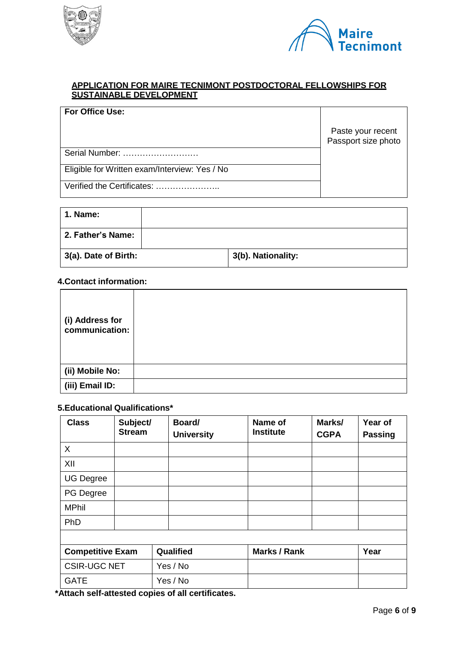



#### **APPLICATION FOR MAIRE TECNIMONT POSTDOCTORAL FELLOWSHIPS FOR SUSTAINABLE DEVELOPMENT**

| <b>For Office Use:</b>                        |                                          |
|-----------------------------------------------|------------------------------------------|
|                                               | Paste your recent<br>Passport size photo |
|                                               |                                          |
| Serial Number:                                |                                          |
| Eligible for Written exam/Interview: Yes / No |                                          |
| Verified the Certificates:                    |                                          |

| <b>1. Name:</b>      |                    |
|----------------------|--------------------|
| 2. Father's Name:    |                    |
| 3(a). Date of Birth: | 3(b). Nationality: |

## **4.Contact information:**

| (i) Address for<br>communication: |  |
|-----------------------------------|--|
| (ii) Mobile No:                   |  |
| (iii) Email ID:                   |  |

## **5.Educational Qualifications\***

| <b>Class</b>            | Subject/<br><b>Stream</b> | Board/<br><b>University</b> | Name of<br><b>Institute</b> | Marks/<br><b>CGPA</b> | Year of<br><b>Passing</b> |
|-------------------------|---------------------------|-----------------------------|-----------------------------|-----------------------|---------------------------|
| X                       |                           |                             |                             |                       |                           |
| XII                     |                           |                             |                             |                       |                           |
| <b>UG Degree</b>        |                           |                             |                             |                       |                           |
| PG Degree               |                           |                             |                             |                       |                           |
| <b>MPhil</b>            |                           |                             |                             |                       |                           |
| PhD                     |                           |                             |                             |                       |                           |
|                         |                           |                             |                             |                       |                           |
| <b>Competitive Exam</b> |                           | Qualified                   | <b>Marks / Rank</b>         |                       | Year                      |
| <b>CSIR-UGC NET</b>     |                           | Yes / No                    |                             |                       |                           |
| <b>GATE</b>             |                           | Yes / No                    |                             |                       |                           |

**\*Attach self-attested copies of all certificates.**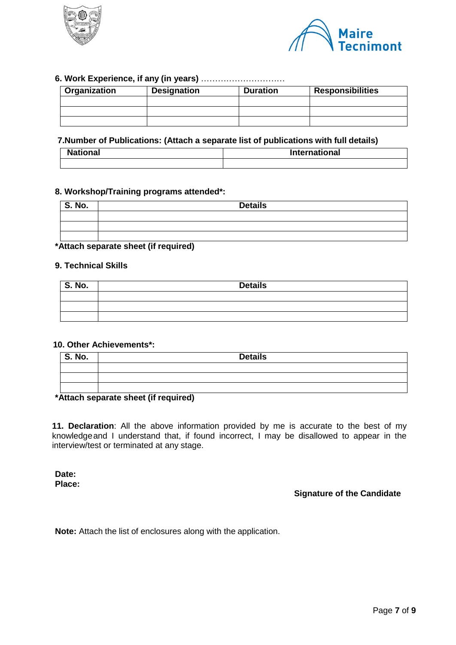



### **6. Work Experience, if any (in years)** …………………………

| Organization | <b>Responsibilities</b><br><b>Designation</b><br><b>Duration</b> |  |  |
|--------------|------------------------------------------------------------------|--|--|
|              |                                                                  |  |  |
|              |                                                                  |  |  |
|              |                                                                  |  |  |

#### **7.Number of Publications: (Attach a separate list of publications with full details)**

| <b>National</b> | <b>International</b> |  |
|-----------------|----------------------|--|
|                 |                      |  |

#### **8. Workshop/Training programs attended\*:**

| <b>Details</b> |
|----------------|
|                |
|                |
|                |
|                |

### **\*Attach separate sheet (if required)**

### **9. Technical Skills**

| S. No. | <b>Details</b> |
|--------|----------------|
|        |                |
|        |                |
|        |                |

### **10. Other Achievements\*:**

| $\overline{\phantom{a}}$ S. No. | <b>Details</b> |
|---------------------------------|----------------|
|                                 |                |
|                                 |                |
|                                 |                |

#### **\*Attach separate sheet (if required)**

**11. Declaration**: All the above information provided by me is accurate to the best of my knowledgeand I understand that, if found incorrect, I may be disallowed to appear in the interview/test or terminated at any stage.

**Date: Place:**

## **Signature of the Candidate**

**Note:** Attach the list of enclosures along with the application.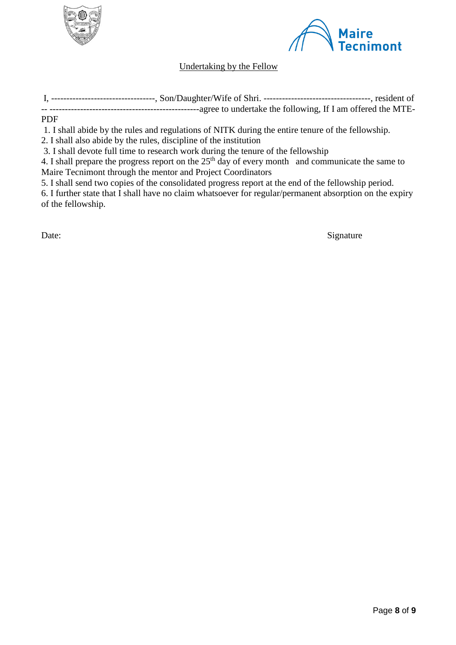



# Undertaking by the Fellow

I, ----------------------------------, Son/Daughter/Wife of Shri. -----------------------------------, resident of

-- -------------------------------------------------agree to undertake the following, If I am offered the MTE-

## PDF

1. I shall abide by the rules and regulations of NITK during the entire tenure of the fellowship.

2. I shall also abide by the rules, discipline of the institution

3. I shall devote full time to research work during the tenure of the fellowship

4. I shall prepare the progress report on the  $25<sup>th</sup>$  day of every month and communicate the same to Maire Tecnimont through the mentor and Project Coordinators

5. I shall send two copies of the consolidated progress report at the end of the fellowship period.

6. I further state that I shall have no claim whatsoever for regular/permanent absorption on the expiry of the fellowship.

Date: Signature